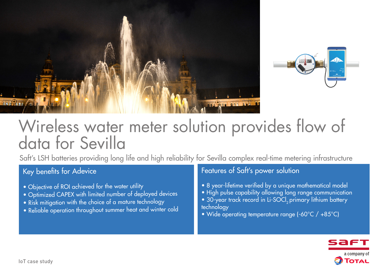



# Wireless water meter solution provides flow of data for Sevilla

Saft's LSH batteries providing long life and high reliability for Sevilla complex real-time metering infrastructure

## Key benefits for Adevice

- Objective of ROI achieved for the water utility
- Optimized CAPEX with limited number of deployed devices
- Risk mitigation with the choice of a mature technology
- Reliable operation throughout summer heat and winter cold

## Features of Saft's power solution

- 8 year-lifetime verified by a unique mathematical model
- High pulse capability allowing long range communication
- 30-year track record in Li-SOCI<sub>2</sub> primary lithium battery technology
- Wide operating temperature range (-60°C / +85°C)